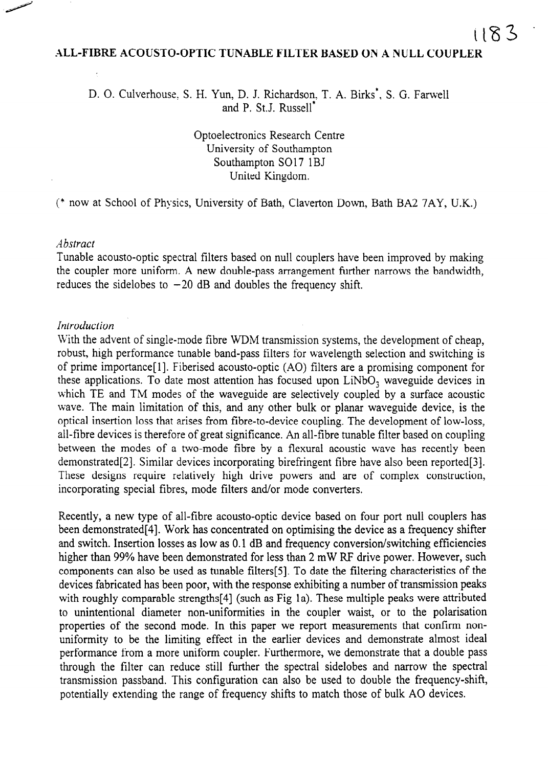## ALL-FIBRE ACOUSTO-OPTIC TUNABLE FILTER BASED ON A NULL COUPLER

D. O. Culverhouse, S. H. Yun, D. J. Richardson, T. A. Birks<sup>\*</sup>, S. G. Farwell and P. St.J. Russell\*

> Optoelectronics Research Centre University of Southampton Southampton SO17 1BJ United Kingdom.

(\* now at School of Physics, University of Bath, Claverton Down, Bath BA2 7AY, U.K.)

#### Abstract

Tunable acousto-optic spectral filters based on null couplers have been improved by making the coupler more uniform. A new double-pass arrangement further narrows the bandwidth, reduces the sidelobes to  $-20$  dB and doubles the frequency shift,

#### Introduction

With the advent of single-mode fibre WDM transmission systems, the development of cheap, robust, high performance tunable band-pass filters for wavelength selection and switching is of prime importance[l]. Fiberised acousto-optic (AO) filters are a promising component for these applications. To date most attention has focused upon  $LiNbO<sub>3</sub>$  waveguide devices in which TE and TM modes of the waveguide are selectively coupled by a surface acoustic wave. The main limitation of this, and any other bulk or planar waveguide device, is the optical insertion loss that arises from fibre-to-device coupling. The development of low-loss, all-fibre devices is therefore of great significance. An all-fibre tunable filter based on coupling between the modes of a two-mode fibre by a flexural acoustic wave has recently been demonstrated[2]. Similar devices incorporating birefringent fibre have also been reported[3]. These designs require relatively high drive powers and are of complex construction, incorporating special fibres, mode filters and/or mode converters.

Recently, a new type of all-fibre acousto-optic device based on four port null couplers has been demonstrated[4]. Work has concentrated on optimising the device as a frequency shifter and switch. Insertion losses as low as 0.1 dB and frequency conversion/switching efficiencies higher than 99% have been demonstrated for less than 2 mW RF drive power. However, such components can also be used as tunable filters[5]. To date the filtering characteristics of the devices fabricated has been poor, with the response exhibiting a number of transmission peaks with roughly comparable strengths[4] (such as Fig la). These multiple peaks were attributed to unintentional diameter non-uniformities in the coupler waist, or to the polarisation properties of the second mode. In this paper we report measurements that confirm nonuniformity to be the limiting effect in the earlier devices and demonstrate almost ideal performance from a more uniform coupler. Furthermore, we demonstrate that a double pass through the filter can reduce still further the spectral sidelobes and narrow the spectral transmission passband. This configuration can also be used to double the frequency-shift, potentially extending the range of frequency shifts to match those of bulk A0 devices.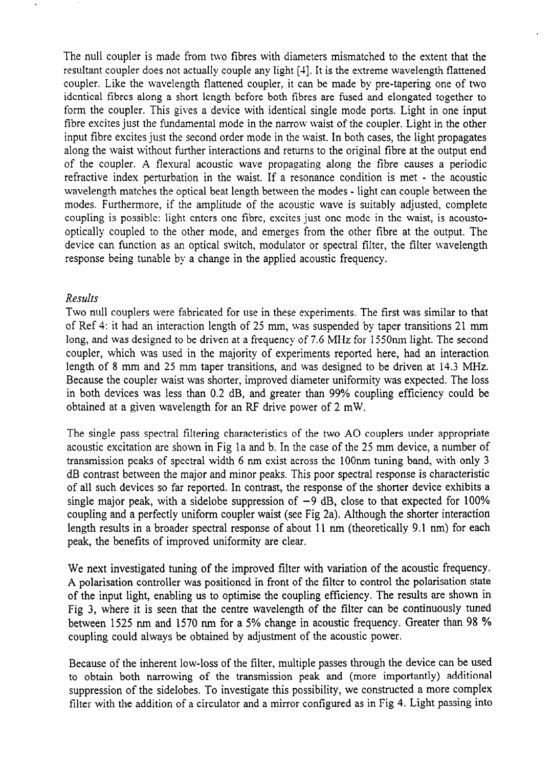The null coupler is made from two fibres with diameters mismatched to the extent that the resultant coupler does not actually couple any light [4]. It is the extreme wavelength flattened coupler. Like the wavelength flattened coupler, it can be made by pre-tapering one of two identical fibres along a short length before both fibres are fused and elongated together to form the coupler. This gives a device with identical single mode ports. Light in one input fibre excites just the fundamental mode in the narrow waist of the coupler. Light in the other input fibre excites just the second order mode in the waist. In both cases, the light propagates along the waist without further interactions and returns to the original fibre at the output end of the coupler. A flexural acoustic wave propagating along the fibre causes a periodic refractive index perturbation in the waist. If a resonance condition is met - the acoustic wavelength matches the optical beat length between the modes - light can couple between the modes. Furthermore, if the amplitude of the acoustic wave is suitably adjusted, complete coupling is possible: light enters one fibre, excites just one mode in the waist, is acoustooptically coupled to the other mode, and emerges from the other fibre at the output. The device can function as an optical switch, modulator or spectral filter, the filter wavelength response being tunable by a change in the applied acoustic frequency.

# Results

Two null couplers were fabricated for use in these experiments. The first was similar to that of Ref 4: it had an interaction length of 25 mm, was suspended by taper transitions 21 mm long, and was designed to be driven at a frequency of 7.6 MHz for 155Onm light. The second coupler, which was used in the majority of experiments reported here, had an interaction length of 8 mm and 25 mm taper transitions, and was designed to be driven at 14.3 MHz. Because the coupler waist was shorter, improved diameter uniformity was expected. The loss in both devices was less than 0.2 dB, and greater than 99% coupling efficiency could be obtained at a given wavelength for an RF drive power of 2 mW.

The single pass spectral filtering characteristics of the two A0 couplers under appropriate acoustic excitation are shown in Fig la and b. In the case of the 25 mm device, a number of transmission peaks of spectral width 6 nm exist across the 1OOnm tuning band, with only 3 dB contrast between the major and minor peaks. This poor spectral response is characteristic of all such devices so far reported. In contrast, the response of the shorter device exhibits a single major peak, with a sidelobe suppression of  $-9$  dB, close to that expected for 100% coupling and a perfectly uniform coupler waist (see Fig 2a). Although the shorter interaction length results in a broader spectral response of about 11 nm (theoretically 9.1 nm) for each peak, the benefits of improved uniformity are clear.

We next investigated tuning of the improved filter with variation of the acoustic frequency. A polarisation controller was positioned in front of the filter to control the polarisation state of the input light, enabling us to optimise the coupling efficiency. The results are shown in Fig 3, where it is seen that the centre wavelength of the filter can be continuously tuned between 1525 nm and 1570 nm for a 5% change in acoustic frequency. Greater than 98 % coupling could always be obtained by adjustment of the acoustic power.

Because of the inherent low-loss of the filter, multiple passes through the device can be used to obtain both narrowing of the transmission peak and (more importantly) additional suppression of the sidelobes. To investigate this possibility, we constructed a more complex filter with the addition of a circulator and a mirror configured as in Fig 4. Light passing into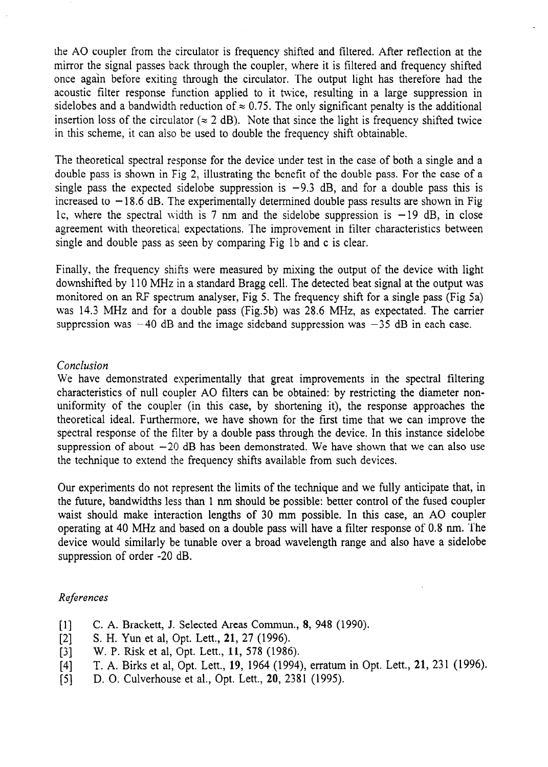the A0 coupler from the circulator is frequency shifted and filtered. After reflection at the mirror the signal passes back through the coupler, where it is filtered and frequency shifted once again before exiting through the circulator. The output light has therefore had the acoustic filter response function applied to it twice, resulting in a large suppression in sidelobes and a bandwidth reduction of  $\approx 0.75$ . The only significant penalty is the additional insertion loss of the circulator ( $\approx 2$  dB). Note that since the light is frequency shifted twice in this scheme, it can also be used to double the frequency shift obtainable.

The theoretical spectral response for the device under test in the case of both a single and a double pass is shown in Fig 2, illustrating the benefit of the double pass. For the case of a single pass the expected sidelobe suppression is  $-9.3$  dB, and for a double pass this is increased to  $-18.6$  dB. The experimentally determined double pass results are shown in Fig. 1c, where the spectral width is 7 nm and the sidelobe suppression is  $-19$  dB, in close agreement with theoretical expectations. The improvement in filter characteristics between single and double pass as seen by comparing Fig lb and c is clear.

Finally, the frequency shifts were measured by mixing the output of the device with light downshifted by 110 MHz in a standard Bragg cell. The detected beat signal at the output was monitored on an RF spectrum analyser, Fig 5. The frequency shift for a single pass (Fig 5a) was 14.3 MHz and for a double pass (Fig.Sb) was 28.6 MHz, as expectated. The carrier suppression was  $-40$  dB and the image sideband suppression was  $-35$  dB in each case.

# Conclusion

We have demonstrated experimentally that great improvements in the spectral filtering characteristics of null coupler A0 filters can be obtained: by restricting the diameter nonuniformity of the coupler (in this case, by shortening it), the response approaches the theoretical ideal. Furthermore, we have shown for the first time that we can improve the spectral response of the filter by a double pass through the device. In this instance sidelobe suppression of about  $-20$  dB has been demonstrated. We have shown that we can also use the technique to extend the frequency shifts available from such devices.

Our experiments do not represent the limits of the technique and we fully anticipate that, in the future, bandwidths less than 1 nm should be possible: better control of the fused coupler waist should make interaction lengths of 30 mm possible. In this case, an A0 coupler operating at 40 MHz and based on a double pass will have a filter response of 0.8 nm. The device would similarly be tunable over a broad wavelength range and also have a sidelobe suppression of order -20 dB.

## References

- [1] C. A. Brackett, J. Selected Areas Commun., 8, 948 (1990).<br>[2] S. H. Yun et al, Opt. Lett., 21, 27 (1996).
- [2] S. H. Yun et al, Opt. Lett., 21, 27 (1996).<br>[3] W. P. Risk et al, Opt. Lett., 11, 578 (1986)
- 
- [3] W. P. Risk et al, Opt. Lett., 11, 578 (1986).<br>[4] T. A. Birks et al, Opt. Lett., 19, 1964 (1994) [4] T. A. Birks et al, Opt. Lett., 19, 1964 (1994), erratum in Opt. Lett., 21, 231 (1996).<br>[5] D. O. Culverhouse et al., Opt. Lett., 20, 2381 (1995).
- D. O. Culverhouse et al., Opt. Lett., 20, 2381 (1995).